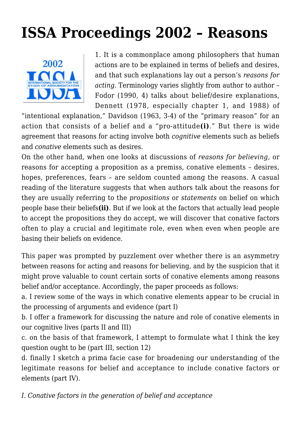# **[ISSA Proceedings 2002 – Reasons](https://rozenbergquarterly.com/issa-proceedings-2002-reasons/)**



1. It is a commonplace among philosophers that human actions are to be explained in terms of beliefs and desires, and that such explanations lay out a person's *reasons for acting*. Terminology varies slightly from author to author -Fodor (1990, 4) talks about belief/desire explanations, Dennett (1978, especially chapter 1, and 1988) of

"intentional explanation," Davidson (1963, 3-4) of the "primary reason" for an action that consists of a belief and a "pro-attitude**(i)**." But there is wide agreement that reasons for acting involve both *cognitive* elements such as beliefs and *conative* elements such as desires.

On the other hand, when one looks at discussions of *reasons for believing*, or reasons for accepting a proposition as a premiss, conative elements – desires, hopes, preferences, fears – are seldom counted among the reasons. A casual reading of the literature suggests that when authors talk about the reasons for they are usually referring to the *propositions* or *statements* on belief on which people base their beliefs**(ii)**. But if we look at the factors that actually lead people to accept the propositions they do accept, we will discover that conative factors often to play a crucial and legitimate role, even when even when people are basing their beliefs on evidence.

This paper was prompted by puzzlement over whether there is an asymmetry between reasons for acting and reasons for believing, and by the suspicion that it might prove valuable to count certain sorts of conative elements among reasons belief and/or acceptance. Accordingly, the paper proceeds as follows:

a. I review some of the ways in which conative elements appear to be crucial in the processing of arguments and evidence (part I)

b. I offer a framework for discussing the nature and role of conative elements in our cognitive lives (parts II and III)

c. on the basis of that framework, I attempt to formulate what I think the key question ought to be (part III, section 12)

d. finally I sketch a prima facie case for broadening our understanding of the legitimate reasons for belief and acceptance to include conative factors or elements (part IV).

*I. Conative factors in the generation of belief and acceptance*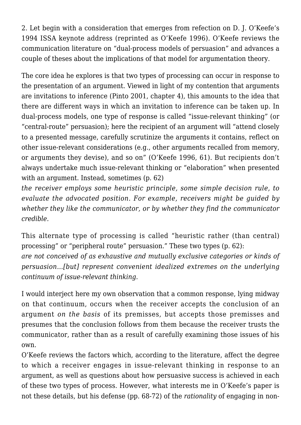2. Let begin with a consideration that emerges from refection on D. J. O'Keefe's 1994 ISSA keynote address (reprinted as O'Keefe 1996). O'Keefe reviews the communication literature on "dual-process models of persuasion" and advances a couple of theses about the implications of that model for argumentation theory.

The core idea he explores is that two types of processing can occur in response to the presentation of an argument. Viewed in light of my contention that arguments are invitations to inference (Pinto 2001, chapter 4), this amounts to the idea that there are different ways in which an invitation to inference can be taken up. In dual-process models, one type of response is called "issue-relevant thinking" (or "central-route" persuasion); here the recipient of an argument will "attend closely to a presented message, carefully scrutinize the arguments it contains, reflect on other issue-relevant considerations (e.g., other arguments recalled from memory, or arguments they devise), and so on" (O'Keefe 1996, 61). But recipients don't always undertake much issue-relevant thinking or "elaboration" when presented with an argument. Instead, sometimes (p. 62)

*the receiver employs some heuristic principle, some simple decision rule, to evaluate the advocated position. For example, receivers might be guided by whether they like the communicator, or by whether they find the communicator credible.*

This alternate type of processing is called "heuristic rather (than central) processing" or "peripheral route" persuasion." These two types (p. 62): *are not conceived of as exhaustive and mutually exclusive categories or kinds of persuasion…[but] represent convenient idealized extremes on the underlying continuum of issue-relevant thinking.*

I would interject here my own observation that a common response, lying midway on that continuum, occurs when the receiver accepts the conclusion of an argument *on the basis* of its premisses, but accepts those premisses and presumes that the conclusion follows from them because the receiver trusts the communicator, rather than as a result of carefully examining those issues of his own.

O'Keefe reviews the factors which, according to the literature, affect the degree to which a receiver engages in issue-relevant thinking in response to an argument, as well as questions about how persuasive success is achieved in each of these two types of process. However, what interests me in O'Keefe's paper is not these details, but his defense (pp. 68-72) of the *rationality* of engaging in non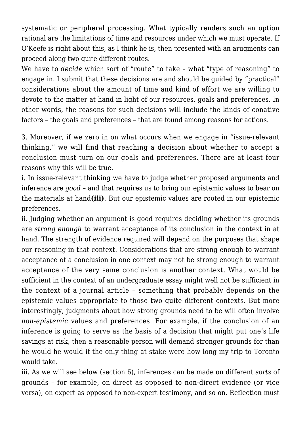systematic or peripheral processing. What typically renders such an option rational are the limitations of time and resources under which we must operate. If O'Keefe is right about this, as I think he is, then presented with an arugments can proceed along two quite different routes.

We have to *decide* which sort of "route" to take – what "type of reasoning" to engage in. I submit that these decisions are and should be guided by "practical" considerations about the amount of time and kind of effort we are willing to devote to the matter at hand in light of our resources, goals and preferences. In other words, the reasons for such decisions will include the kinds of conative factors – the goals and preferences – that are found among reasons for actions.

3. Moreover, if we zero in on what occurs when we engage in "issue-relevant thinking," we will find that reaching a decision about whether to accept a conclusion must turn on our goals and preferences. There are at least four reasons why this will be true.

i. In issue-relevant thinking we have to judge whether proposed arguments and inference are *good* – and that requires us to bring our epistemic values to bear on the materials at hand**(iii)**. But our epistemic values are rooted in our epistemic preferences.

ii. Judging whether an argument is good requires deciding whether its grounds are *strong enough* to warrant acceptance of its conclusion in the context in at hand. The strength of evidence required will depend on the purposes that shape our reasoning in that context. Considerations that are strong enough to warrant acceptance of a conclusion in one context may not be strong enough to warrant acceptance of the very same conclusion is another context. What would be sufficient in the context of an undergraduate essay might well not be sufficient in the context of a journal article – something that probably depends on the epistemic values appropriate to those two quite different contexts. But more interestingly, judgments about how strong grounds need to be will often involve *non-epistemic* values and preferences. For example, if the conclusion of an inference is going to serve as the basis of a decision that might put one's life savings at risk, then a reasonable person will demand stronger grounds for than he would he would if the only thing at stake were how long my trip to Toronto would take.

iii. As we will see below (section 6), inferences can be made on different *sorts* of grounds – for example, on direct as opposed to non-direct evidence (or vice versa), on expert as opposed to non-expert testimony, and so on. Reflection must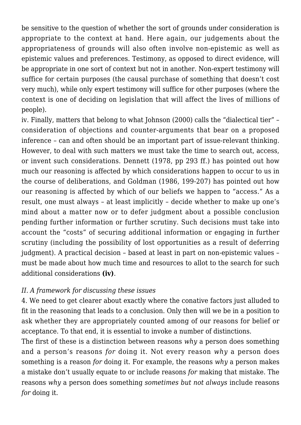be sensitive to the question of whether the sort of grounds under consideration is appropriate to the context at hand. Here again, our judgements about the appropriateness of grounds will also often involve non-epistemic as well as epistemic values and preferences. Testimony, as opposed to direct evidence, will be appropriate in one sort of context but not in another. Non-expert testimony will suffice for certain purposes (the causal purchase of something that doesn't cost very much), while only expert testimony will suffice for other purposes (where the context is one of deciding on legislation that will affect the lives of millions of people).

iv. Finally, matters that belong to what Johnson (2000) calls the "dialectical tier" – consideration of objections and counter-arguments that bear on a proposed inference – can and often should be an important part of issue-relevant thinking. However, to deal with such matters we must take the time to search out, access, or invent such considerations. Dennett (1978, pp 293 ff.) has pointed out how much our reasoning is affected by which considerations happen to occur to us in the course of deliberations, and Goldman (1986, 199-207) has pointed out how our reasoning is affected by which of our beliefs we happen to "access." As a result, one must always – at least implicitly – decide whether to make up one's mind about a matter now or to defer judgment about a possible conclusion pending further information or further scrutiny. Such decisions must take into account the "costs" of securing additional information or engaging in further scrutiny (including the possibility of lost opportunities as a result of deferring judgment). A practical decision – based at least in part on non-epistemic values – must be made about how much time and resources to allot to the search for such additional considerations **(iv)**.

#### *II. A framework for discussing these issues*

4. We need to get clearer about exactly where the conative factors just alluded to fit in the reasoning that leads to a conclusion. Only then will we be in a position to ask whether they are appropriately counted among of our reasons for belief or acceptance. To that end, it is essential to invoke a number of distinctions.

The first of these is a distinction between reasons *why* a person does something and a person's reasons *for* doing it. Not every reason *why* a person does something is a reason *for* doing it. For example, the reasons *why* a person makes a mistake don't usually equate to or include reasons *for* making that mistake. The reasons *why* a person does something *sometimes but not always* include reasons *for* doing it.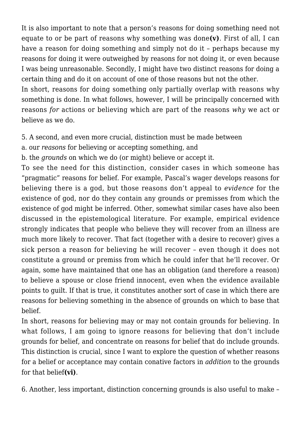It is also important to note that a person's reasons for doing something need not equate to or be part of reasons why something was done**(v)**. First of all, I can have a reason for doing something and simply not do it - perhaps because my reasons for doing it were outweighed by reasons for not doing it, or even because I was being unreasonable. Secondly, I might have two distinct reasons for doing a certain thing and do it on account of one of those reasons but not the other.

In short, reasons for doing something only partially overlap with reasons why something is done. In what follows, however, I will be principally concerned with reasons *for* actions or believing which are part of the reasons *why* we act or believe as we do.

- 5. A second, and even more crucial, distinction must be made between
- a. our *reasons* for believing or accepting something, and
- b. the *grounds* on which we do (or might) believe or accept it.

To see the need for this distinction, consider cases in which someone has "pragmatic" reasons for belief. For example, Pascal's wager develops reasons for believing there is a god, but those reasons don't appeal to *evidence* for the existence of god, nor do they contain any grounds or premisses from which the existence of god might be inferred. Other, somewhat similar cases have also been discussed in the epistemological literature. For example, empirical evidence strongly indicates that people who believe they will recover from an illness are much more likely to recover. That fact (together with a desire to recover) gives a sick person a reason for believing he will recover – even though it does not constitute a ground or premiss from which he could infer that he'll recover. Or again, some have maintained that one has an obligation (and therefore a reason) to believe a spouse or close friend innocent, even when the evidence available points to guilt. If that is true, it constitutes another sort of case in which there are reasons for believing something in the absence of grounds on which to base that belief.

In short, reasons for believing may or may not contain grounds for believing. In what follows, I am going to ignore reasons for believing that don't include grounds for belief, and concentrate on reasons for belief that do include grounds. This distinction is crucial, since I want to explore the question of whether reasons for a belief or acceptance may contain conative factors in *addition* to the grounds for that belief**(vi)**.

6. Another, less important, distinction concerning grounds is also useful to make –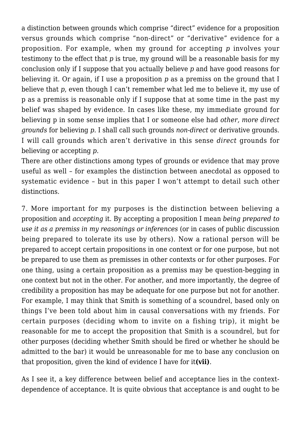a distinction between grounds which comprise "direct" evidence for a proposition versus grounds which comprise "non-direct" or "derivative" evidence for a proposition. For example, when my ground for accepting *p* involves your testimony to the effect that *p* is true, my ground will be a reasonable basis for my conclusion only if I suppose that you actually believe *p* and have good reasons for believing it. Or again, if I use a proposition *p* as a premiss on the ground that I believe that *p*, even though I can't remember what led me to believe it, my use of p as a premiss is reasonable only if I suppose that at some time in the past my belief was shaped by evidence. In cases like these, my immediate ground for believing p in some sense implies that I or someone else had *other, more direct grounds* for believing *p*. I shall call such grounds *non-direct* or derivative grounds. I will call grounds which aren't derivative in this sense *direct* grounds for believing or accepting *p.*

There are other distinctions among types of grounds or evidence that may prove useful as well – for examples the distinction between anecdotal as opposed to systematic evidence – but in this paper I won't attempt to detail such other distinctions.

7. More important for my purposes is the distinction between believing a proposition and *accepting* it. By accepting a proposition I mean *being prepared to use it as a premiss in my reasonings or inferences* (or in cases of public discussion being prepared to tolerate its use by others). Now a rational person will be prepared to accept certain propositions in one context or for one purpose, but not be prepared to use them as premisses in other contexts or for other purposes. For one thing, using a certain proposition as a premiss may be question-begging in one context but not in the other. For another, and more importantly, the degree of credibility a proposition has may be adequate for one purpose but not for another. For example, I may think that Smith is something of a scoundrel, based only on things I've been told about him in causal conversations with my friends. For certain purposes (deciding whom to invite on a fishing trip), it might be reasonable for me to accept the proposition that Smith is a scoundrel, but for other purposes (deciding whether Smith should be fired or whether he should be admitted to the bar) it would be unreasonable for me to base any conclusion on that proposition, given the kind of evidence I have for it**(vii)**.

As I see it, a key difference between belief and acceptance lies in the contextdependence of acceptance. It is quite obvious that acceptance is and ought to be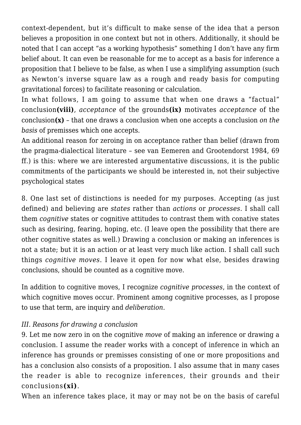context-dependent, but it's difficult to make sense of the idea that a person believes a proposition in one context but not in others. Additionally, it should be noted that I can accept "as a working hypothesis" something I don't have any firm belief about. It can even be reasonable for me to accept as a basis for inference a proposition that I believe to be false, as when I use a simplifying assumption (such as Newton's inverse square law as a rough and ready basis for computing gravitational forces) to facilitate reasoning or calculation.

In what follows, I am going to assume that when one draws a "factual" conclusion**(viii)**, *acceptance* of the grounds**(ix)** motivates *acceptance* of the conclusion**(x)** – that one draws a conclusion when one accepts a conclusion *on the basis* of premisses which one accepts.

An additional reason for zeroing in on acceptance rather than belief (drawn from the pragma-dialectical literature – see van Eemeren and Grootendorst 1984, 69 ff.) is this: where we are interested argumentative discussions, it is the public commitments of the participants we should be interested in, not their subjective psychological states

8. One last set of distinctions is needed for my purposes. Accepting (as just defined) and believing are *states* rather than *actions* or *processes*. I shall call them *cognitive* states or cognitive attitudes to contrast them with conative states such as desiring, fearing, hoping, etc. (I leave open the possibility that there are other cognitive states as well.) Drawing a conclusion or making an inferences is not a state; but it is an action or at least very much like action. I shall call such things *cognitive moves*. I leave it open for now what else, besides drawing conclusions, should be counted as a cognitive move.

In addition to cognitive moves, I recognize *cognitive processes*, in the context of which cognitive moves occur. Prominent among cognitive processes, as I propose to use that term, are inquiry and *deliberation.*

### *III. Reasons for drawing a conclusion*

9. Let me now zero in on the cognitive *move* of making an inference or drawing a conclusion. I assume the reader works with a concept of inference in which an inference has grounds or premisses consisting of one or more propositions and has a conclusion also consists of a proposition. I also assume that in many cases the reader is able to recognize inferences, their grounds and their conclusions**(xi)**.

When an inference takes place, it may or may not be on the basis of careful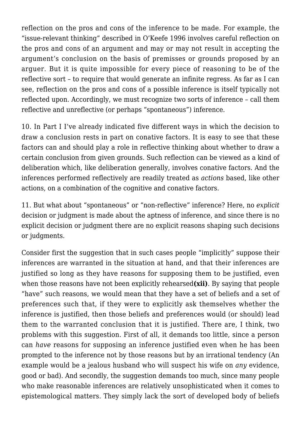reflection on the pros and cons of the inference to be made. For example, the "issue-relevant thinking" described in O'Keefe 1996 involves careful reflection on the pros and cons of an argument and may or may not result in accepting the argument's conclusion on the basis of premisses or grounds proposed by an arguer. But it is quite impossible for every piece of reasoning to be of the reflective sort – to require that would generate an infinite regress. As far as I can see, reflection on the pros and cons of a possible inference is itself typically not reflected upon. Accordingly, we must recognize two sorts of inference – call them reflective and unreflective (or perhaps "spontaneous") inference.

10. In Part I I've already indicated five different ways in which the decision to draw a conclusion rests in part on conative factors. It is easy to see that these factors can and should play a role in reflective thinking about whether to draw a certain conclusion from given grounds. Such reflection can be viewed as a kind of deliberation which, like deliberation generally, involves conative factors. And the inferences performed reflectively are readily treated as *actions* based, like other actions, on a combination of the cognitive and conative factors.

11. But what about "spontaneous" or "non-reflective" inference? Here, no *explicit* decision or judgment is made about the aptness of inference, and since there is no explicit decision or judgment there are no explicit reasons shaping such decisions or judgments.

Consider first the suggestion that in such cases people "implicitly" suppose their inferences are warranted in the situation at hand, and that their inferences are justified so long as they have reasons for supposing them to be justified, even when those reasons have not been explicitly rehearsed**(xii)**. By saying that people "have" such reasons, we would mean that they have a set of beliefs and a set of preferences such that, if they were to explicitly ask themselves whether the inference is justified, then those beliefs and preferences would (or should) lead them to the warranted conclusion that it is justified. There are, I think, two problems with this suggestion. First of all, it demands too little, since a person can *have* reasons for supposing an inference justified even when he has been prompted to the inference not by those reasons but by an irrational tendency (An example would be a jealous husband who will suspect his wife on *any* evidence, good or bad). And secondly, the suggestion demands too much, since many people who make reasonable inferences are relatively unsophisticated when it comes to epistemological matters. They simply lack the sort of developed body of beliefs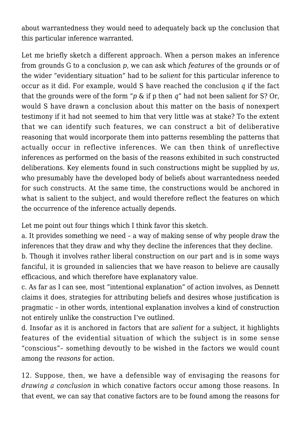about warrantedness they would need to adequately back up the conclusion that this particular inference warranted.

Let me briefly sketch a different approach. When a person makes an inference from grounds G to a conclusion *p*, we can ask which *features* of the grounds or of the wider "evidentiary situation" had to be *salient* for this particular inference to occur as it did. For example, would S have reached the conclusion *q* if the fact that the grounds were of the form "*p* & if p then *q*" had not been salient for S? Or, would S have drawn a conclusion about this matter on the basis of nonexpert testimony if it had not seemed to him that very little was at stake? To the extent that we can identify such features, we can construct a bit of deliberative reasoning that would incorporate them into patterns resembling the patterns that actually occur in reflective inferences. We can then think of unreflective inferences as performed on the basis of the reasons exhibited in such constructed deliberations. Key elements found in such constructions might be supplied by *us*, who presumably have the developed body of beliefs about warrantedness needed for such constructs. At the same time, the constructions would be anchored in what is salient to the subject, and would therefore reflect the features on which the occurrence of the inference actually depends.

Let me point out four things which I think favor this sketch.

a. It provides something we need – a way of making sense of why people draw the inferences that they draw and why they decline the inferences that they decline.

b. Though it involves rather liberal construction on our part and is in some ways fanciful, it is grounded in saliencies that we have reason to believe are causally efficacious, and which therefore have explanatory value.

c. As far as I can see, most "intentional explanation" of action involves, as Dennett claims it does, strategies for attributing beliefs and desires whose justification is pragmatic – in other words, intentional explanation involves a kind of construction not entirely unlike the construction I've outlined.

d. Insofar as it is anchored in factors that are *salient* for a subject, it highlights features of the evidential situation of which the subject is in some sense "conscious"– something devoutly to be wished in the factors we would count among the *reasons* for action.

12. Suppose, then, we have a defensible way of envisaging the reasons for *drawing a conclusion* in which conative factors occur among those reasons. In that event, we can say that conative factors are to be found among the reasons for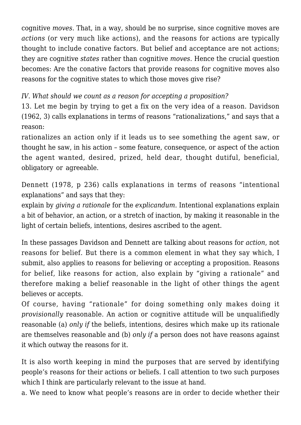cognitive *moves*. That, in a way, should be no surprise, since cognitive moves are *actions* (or very much like actions), and the reasons for actions are typically thought to include conative factors. But belief and acceptance are not actions; they are cognitive *states* rather than cognitive *moves*. Hence the crucial question becomes: Are the conative factors that provide reasons for cognitive moves also reasons for the cognitive states to which those moves give rise?

## *IV. What should we count as a reason for accepting a proposition?*

13. Let me begin by trying to get a fix on the very idea of a reason. Davidson (1962, 3) calls explanations in terms of reasons "rationalizations," and says that a reason:

rationalizes an action only if it leads us to see something the agent saw, or thought he saw, in his action – some feature, consequence, or aspect of the action the agent wanted, desired, prized, held dear, thought dutiful, beneficial, obligatory or agreeable.

Dennett (1978, p 236) calls explanations in terms of reasons "intentional explanations" and says that they:

explain by *giving a rationale* for the *explicandum*. Intentional explanations explain a bit of behavior, an action, or a stretch of inaction, by making it reasonable in the light of certain beliefs, intentions, desires ascribed to the agent.

In these passages Davidson and Dennett are talking about reasons for *action*, not reasons for belief. But there is a common element in what they say which, I submit, also applies to reasons for believing or accepting a proposition. Reasons for belief, like reasons for action, also explain by "giving a rationale" and therefore making a belief reasonable in the light of other things the agent believes or accepts.

Of course, having "rationale" for doing something only makes doing it *provisionally* reasonable. An action or cognitive attitude will be unqualifiedly reasonable (a) *only if* the beliefs, intentions, desires which make up its rationale are themselves reasonable and (b) *only if* a person does not have reasons against it which outway the reasons for it.

It is also worth keeping in mind the purposes that are served by identifying people's reasons for their actions or beliefs. I call attention to two such purposes which I think are particularly relevant to the issue at hand.

a. We need to know what people's reasons are in order to decide whether their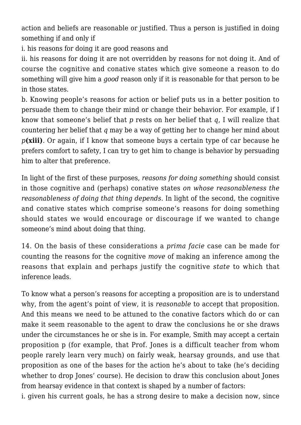action and beliefs are reasonable or justified. Thus a person is justified in doing something if and only if

i. his reasons for doing it are good reasons and

ii. his reasons for doing it are not overridden by reasons for not doing it. And of course the cognitive and conative states which give someone a reason to do something will give him a *good* reason only if it is reasonable for that person to be in those states.

b. Knowing people's reasons for action or belief puts us in a better position to persuade them to change their mind or change their behavior. For example, if I know that someone's belief that *p* rests on her belief that *q*, I will realize that countering her belief that *q* may be a way of getting her to change her mind about *p***(xiii)**. Or again, if I know that someone buys a certain type of car because he prefers comfort to safety, I can try to get him to change is behavior by persuading him to alter that preference.

In light of the first of these purposes, *reasons for doing something* should consist in those cognitive and (perhaps) conative states *on whose reasonableness the reasonableness of doing that thing depends*. In light of the second, the cognitive and conative states which comprise someone's reasons for doing something should states we would encourage or discourage if we wanted to change someone's mind about doing that thing.

14. On the basis of these considerations a *prima facie* case can be made for counting the reasons for the cognitive *move* of making an inference among the reasons that explain and perhaps justify the cognitive *state* to which that inference leads.

To know what a person's reasons for accepting a proposition are is to understand why, from the agent's point of view, it is *reasonable* to accept that proposition. And this means we need to be attuned to the conative factors which do or can make it seem reasonable to the agent to draw the conclusions he or she draws under the circumstances he or she is in. For example, Smith may accept a certain proposition p (for example, that Prof. Jones is a difficult teacher from whom people rarely learn very much) on fairly weak, hearsay grounds, and use that proposition as one of the bases for the action he's about to take (he's deciding whether to drop Jones' course). He decision to draw this conclusion about Jones from hearsay evidence in that context is shaped by a number of factors:

i. given his current goals, he has a strong desire to make a decision now, since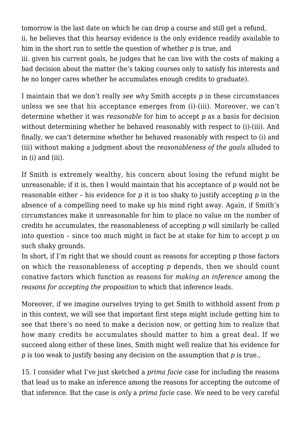tomorrow is the last date on which he can drop a course and still get a refund, ii. he believes that this hearsay evidence is the only evidence readily available to him in the short run to settle the question of whether *p* is true, and iii. given his current goals, he judges that he can live with the costs of making a bad decision about the matter (he's taking courses only to satisfy his interests and he no longer cares whether he accumulates enough credits to graduate).

I maintain that we don't really *see why* Smith accepts *p* in these circumstances unless we see that his acceptance emerges from (i)-(iii). Moreover, we can't determine whether it was *reasonable* for him to accept *p* as a basis for decision without determining whether he behaved reasonably with respect to (i)-(iii). And finally, we can't determine whether he behaved reasonably with respect to (i) and (iii) without making a judgment about the *reasonableness of the goals* alluded to in (i) and (iii).

If Smith is extremely wealthy, his concern about losing the refund might be unreasonable; if it is, then I would maintain that his acceptance of *p* would not be reasonable either – his evidence for *p* it is too shaky to justify accepting *p* in the absence of a compelling need to make up his mind right away. Again, if Smith's circumstances make it unreasonable for him to place no value on the number of credits he accumulates, the reasonableness of accepting *p* will similarly be called into question – since too much might in fact be at stake for him to accept *p* on such shaky grounds.

In short, if I'm right that we should count as reasons for accepting *p* those factors on which the reasonableness of accepting *p* depends, then we should count conative factors which function as reasons for *making an inference* among the *reasons for accepting the proposition* to which that inference leads.

Moreover, if we imagine ourselves trying to get Smith to withhold assent from *p* in this context, we will see that important first steps might include getting him to see that there's no need to make a decision now, or getting him to realize that how many credits he accumulates should matter to him a great deal. If we succeed along either of these lines, Smith might well realize that his evidence for *p* is too weak to justify basing any decision on the assumption that *p* is true.,

15. I consider what I've just sketched a *prima facie* case for including the reasons that lead us to make an inference among the reasons for accepting the outcome of that inference. But the case is *only* a *prima facie* case. We need to be very careful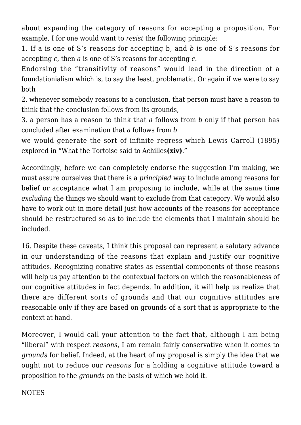about expanding the category of reasons for accepting a proposition. For example, I for one would want to *resist* the following principle:

1. If a is one of S's reasons for accepting b, and *b* is one of S's reasons for accepting *c*, then *a* is one of S's reasons for accepting *c*.

Endorsing the "transitivity of reasons" would lead in the direction of a foundationialism which is, to say the least, problematic. Or again if we were to say both

2. whenever somebody reasons to a conclusion, that person must have a reason to think that the conclusion follows from its grounds,

3. a person has a reason to think that *a* follows from *b* only if that person has concluded after examination that *a* follows from *b*

we would generate the sort of infinite regress which Lewis Carroll (1895) explored in "What the Tortoise said to Achilles**(xiv)**."

Accordingly, before we can completely endorse the suggestion I'm making, we must assure ourselves that there is a *principled* way to include among reasons for belief or acceptance what I am proposing to include, while at the same time *excluding* the things we should want to exclude from that category. We would also have to work out in more detail just how accounts of the reasons for acceptance should be restructured so as to include the elements that I maintain should be included.

16. Despite these caveats, I think this proposal can represent a salutary advance in our understanding of the reasons that explain and justify our cognitive attitudes. Recognizing conative states as essential components of those reasons will help us pay attention to the contextual factors on which the reasonableness of our cognitive attitudes in fact depends. In addition, it will help us realize that there are different sorts of grounds and that our cognitive attitudes are reasonable only if they are based on grounds of a sort that is appropriate to the context at hand.

Moreover, I would call your attention to the fact that, although I am being "liberal" with respect *reasons*, I am remain fairly conservative when it comes to *grounds* for belief. Indeed, at the heart of my proposal is simply the idea that we ought not to reduce our *reasons* for a holding a cognitive attitude toward a proposition to the *grounds* on the basis of which we hold it.

### NOTES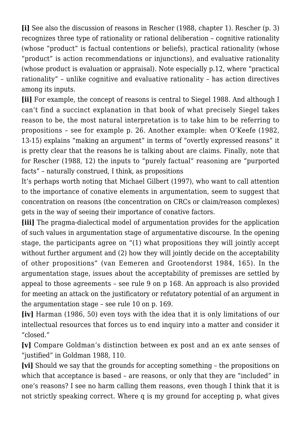**[i]** See also the discussion of reasons in Rescher (1988, chapter 1). Rescher (p. 3) recognizes three type of rationality or rational deliberation – cognitive rationality (whose "product" is factual contentions or beliefs), practical rationality (whose "product" is action recommendations or injunctions), and evaluative rationality (whose product is evaluation or appraisal). Note especially p.12, where "practical rationality" – unlike cognitive and evaluative rationality – has action directives among its inputs.

**[ii]** For example, the concept of reasons is central to Siegel 1988. And although I can't find a succinct explanation in that book of what precisely Siegel takes reason to be, the most natural interpretation is to take him to be referring to propositions – see for example p. 26. Another example: when O'Keefe (1982, 13-15) explains "making an argument" in terms of "overtly expressed reasons" it is pretty clear that the reasons he is talking about are claims. Finally, note that for Rescher (1988, 12) the inputs to "purely factual" reasoning are "purported facts" – naturally construed, I think, as propositions

It's perhaps worth noting that Michael Gilbert (1997), who want to call attention to the importance of conative elements in argumentation, seem to suggest that concentration on reasons (the concentration on CRCs or claim/reason complexes) gets in the way of seeing their importance of conative factors.

**[iii]** The pragma-dialectical model of argumentation provides for the application of such values in argumentation stage of argumentative discourse. In the opening stage, the participants agree on "(1) what propositions they will jointly accept without further argument and (2) how they will jointly decide on the acceptability of other propositions" (van Eemeren and Grootendorst 1984, 165). In the argumentation stage, issues about the acceptability of premisses are settled by appeal to those agreements – see rule 9 on p 168. An approach is also provided for meeting an attack on the justificatory or refutatory potential of an argument in the argumentation stage – see rule 10 on p. 169.

**[iv]** Harman (1986, 50) even toys with the idea that it is only limitations of our intellectual resources that forces us to end inquiry into a matter and consider it "closed."

**[v]** Compare Goldman's distinction between ex post and an ex ante senses of "justified" in Goldman 1988, 110.

**[vi]** Should we say that the grounds for accepting something – the propositions on which that acceptance is based – are reasons, or only that they are "included" in one's reasons? I see no harm calling them reasons, even though I think that it is not strictly speaking correct. Where q is my ground for accepting p, what gives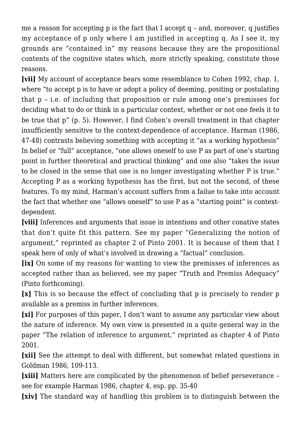me a reason for accepting p is the fact that I accept q – and, moreover, q justifies my acceptance of p only where I am justified in accepting q. As I see it, my grounds are "contained in" my reasons because they are the propositional contents of the cognitive states which, more strictly speaking, constitute those reasons.

**[vii]** My account of acceptance bears some resemblance to Cohen 1992, chap. 1, where "to accept p is to have or adopt a policy of deeming, positing or postulating that p – i.e. of including that proposition or rule among one's premisses for deciding what to do or think in a particular context, whether or not one feels it to be true that p" (p. 5). However, I find Cohen's overall treatment in that chapter insufficiently sensitive to the context-dependence of acceptance. Harman (1986, 47-48) contrasts believing something with accepting it "as a working hypothesis" In belief or "full" acceptance, "one allows oneself to use P as part of one's starting point in further theoretical and practical thinking" and one also "takes the issue to be closed in the sense that one is no longer investigating whether P is true." Accepting P as a working hypothesis has the first, but not the second, of these features. To my mind, Harman's account suffers from a failue to take into account the fact that whether one "allows oneself" to use P as a "starting point" is contextdependent.

**[viii]** Inferences and arguments that issue in intentions and other conative states that don't quite fit this pattern. See my paper "Generalizing the notion of argument," reprinted as chapter 2 of Pinto 2001. It is because of them that I speak here of only of what's involved in drawing a "factual" conclusion.

**[ix]** On some of my reasons for wanting to view the premisses of inferences as accepted rather than as believed, see my paper "Truth and Premiss Adequacy" (Pinto forthcoming).

**[x]** This is so because the effect of concluding that p is precisely to render p available as a premiss in further inferences.

**[xi]** For purposes of this paper, I don't want to assume any particular view about the nature of inference. My own view is presented in a quite general way in the paper "The relation of inference to argument," reprinted as chapter 4 of Pinto 2001.

**[xii]** See the attempt to deal with different, but somewhat related questions in Goldman 1986, 109-113.

**[xiii]** Matters here are complicated by the phenomenon of belief perseverance – see for example Harman 1986, chapter 4, esp. pp. 35-40

**[xiv]** The standard way of handling this problem is to distinguish between the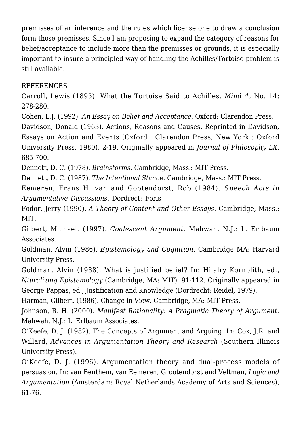premisses of an inference and the rules which license one to draw a conclusion form those premisses. Since I am proposing to expand the category of reasons for belief/acceptance to include more than the premisses or grounds, it is especially important to insure a principled way of handling the Achilles/Tortoise problem is still available.

# **REFERENCES**

Carroll, Lewis (1895). What the Tortoise Said to Achilles. *Mind 4*, No. 14: 278-280.

Cohen, L.J. (1992). *An Essay on Belief and Acceptance.* Oxford: Clarendon Press.

Davidson, Donald (1963). Actions, Reasons and Causes. Reprinted in Davidson, Essays on Action and Events (Oxford : Clarendon Press; New York : Oxford University Press, 1980), 2-19. Originally appeared in *Journal of Philosophy LX*, 685-700.

Dennett, D. C. (1978). *Brainstorms*. Cambridge, Mass.: MIT Press.

Dennett, D. C. (1987). *The Intentional Stance.* Cambridge, Mass.: MIT Press.

Eemeren, Frans H. van and Gootendorst, Rob (1984). *Speech Acts in Argumentative Discussions*. Dordrect: Foris

Fodor, Jerry (1990). *A Theory of Content and Other Essays*. Cambridge, Mass.: MIT.

Gilbert, Michael. (1997). *Coalescent Argument.* Mahwah, N.J.: L. Erlbaum Associates.

Goldman, Alvin (1986). *Epistemology and Cognition*. Cambridge MA: Harvard University Press.

Goldman, Alvin (1988). What is justified belief? In: Hilalry Kornblith, ed., *Nturalizing Epistemology* (Cambridge, MA: MIT), 91-112. Originally appeared in George Pappas, ed., Justification and Knowledge (Dordrecht: Reidel, 1979).

Harman, Gilbert. (1986). Change in View. Cambridge, MA: MIT Press.

Johnson, R. H. (2000). *Manifest Rationality: A Pragmatic Theory of Argument*. Mahwah, N.J.: L. Erlbaum Associates.

O'Keefe, D. J. (1982). The Concepts of Argument and Arguing. In: Cox, J.R. and Willard, *Advances in Argumentation Theory and Research* (Southern Illinois University Press).

O'Keefe, D. J. (1996). Argumentation theory and dual-process models of persuasion. In: van Benthem, van Eemeren, Grootendorst and Veltman, *Logic and Argumentation* (Amsterdam: Royal Netherlands Academy of Arts and Sciences), 61-76.